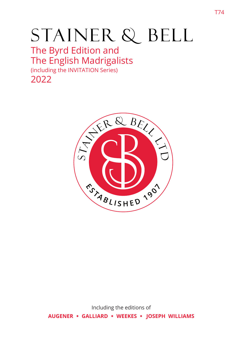# STAINER & BELL

# The Byrd Edition and The English Madrigalists (including the INVITATION Series)

2022



Including the editions of **AUGENER** � **GALLIARD** � **WEEKES** � **JOSEPH WILLIAMS**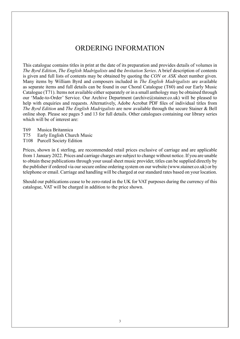# ORDERING INFORMATION

This catalogue contains titles in print at the date of its preparation and provides details of volumes in *The Byrd Edition*, *The English Madrigalists* and the *Invitation Series*. A brief description of contents is given and full lists of contents may be obtained by quoting the *CON* or *ASK* sheet number given. Many items by William Byrd and composers included in *The English Madrigalists* are available as separate items and full details can be found in our Choral Catalogue (T60) and our Early Music Catalogue (T71). Items not available either separately or in a small anthology may be obtained through our 'Made-to-Order' Service. Our Archive Department (archive@stainer.co.uk) will be pleased to help with enquiries and requests. Alternatively, Adobe Acrobat PDF files of individual titles from *The Byrd Edition* and *The English Madrigalists* are now available through the secure Stainer & Bell online shop. Please see pages 5 and 13 for full details. Other catalogues containing our library series which will be of interest are:

- T69 Musica Britannica
- T75 Early English Church Music
- T108 Purcell Society Edition

Prices, shown in £ sterling, are recommended retail prices exclusive of carriage and are applicable from 1 January 2022. Prices and carriage charges are subject to change without notice. If you are unable to obtain these publications through your usual sheet music provider, titles can be supplied directly by the publisher if ordered via our secure online ordering system on our website (www.stainer.co.uk) or by telephone or email. Carriage and handling will be charged at our standard rates based on your location.

Should our publications cease to be zero-rated in the UK for VAT purposes during the currency of this catalogue, VAT will be charged in addition to the price shown.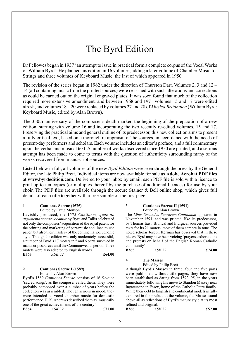# The Byrd Edition

Dr Fellowes began in 1937 'an attempt to issue in practical form a complete corpus of the Vocal Works of William Byrd'. He planned his edition in 16 volumes, adding a later volume of Chamber Music for Strings and three volumes of Keyboard Music, the last of which appeared in 1950.

The revision of the series began in 1962 under the direction of Thurston Dart. Volumes 2, 3 and 12 – 14 (all containing music from the printed sources) were re-issued with such alterations and corrections as could be carried out on the original engraved plates. It was soon found that much of the collection required more extensive amendment, and between 1968 and 1971 volumes 15 and 17 were edited afresh, and volumes 18 – 20 were replaced by volumes 27 and 28 of *Musica Britannica* (William Byrd: Keyboard Music, edited by Alan Brown).

The 350th anniversary of the composer's death marked the beginning of the preparation of a new edition, starting with volume 16 and incorporating the two recently re-edited volumes, 15 and 17. Preserving the practical aims and general outline of its predecessor, this new collection aims to present a fully critical text, based on a thorough re-appraisal of the sources, in accordance with the needs of present-day performers and scholars. Each volume includes an editor's preface, and a full commentary upon the verbal and musical text. A number of works discovered since 1950 are printed, and a serious attempt has been made to come to terms with the question of authenticity surrounding many of the works recovered from manuscript sources.

Listed below in full, all volumes of the new *Byrd Edition* were seen through the press by the General Editor, the late Philip Brett. Individual items are now available for sale as **Adobe Acrobat PDF files** at **www.byrdedition.com**. Delivered to your inbox by email, each PDF file is sold with a licence to print up to ten copies (or multiples thereof by the purchase of additional licences) for use by your choir. The PDF files are available through the secure Stainer & Bell online shop, which gives full details of each title together with a free sample of the first page.

### **1 Cantiones Sacrae (1575)**

Edited by Craig Monson

Lavishly produced, the 1575 *Cantiones, quae ab argumento sacrae vocantur* by Byrd and Tallis celebrated not only the composers' acquisition of the royal patent for the printing and marketing of part-music and lined music paper, but also their mastery of the continental polyphonic style. Though the edition was only moderately successful, a number of Byrd's 17 motets in 5 and 6 parts survived in manuscript sources until the Commonwealth period. Three motets were also adapted to English words. **B363** *ASK 32* **£64.00**

### **2 Cantiones Sacrae I (1589)** Edited by Alan Brown

Byrd's 1589 *Cantiones Sacrae* consists of 16 5-voice 'sacred songs', as the composer called them. They were probably composed over a number of years before the collection was assembled. Though serious in mood, they were intended as vocal chamber music for domestic performance. H. K. Andrews described them as 'musically one of the great achievements of the century'. **B364** *ASK 32* **£71.00**

### **3 Cantiones Sacrae II (1591)** Edited by Alan Brown

The *Liber Secundus Sacrarum Cantionum* appeared in November 1591, and was printed, like its predecessor, by Thomas East. Biblical and liturgical sources provided texts for its 21 motets, most of them sombre in tone. The noted scholar Joseph Kerman has observed that in these pieces, Byrd may have been voicing 'prayers, exhortations and protests on behalf of the English Roman Catholic community'.

| <b>B365</b> | ASK 32 | £74.00 |
|-------------|--------|--------|
|             |        |        |

### **4 The Masses**

Edited by Philip Brett

Although Byrd's Masses in three, four and five parts were published without title pages, they have now been established as dating from 1592–95, in the years immediately following his move to Standon Massey near Ingatestone in Essex, home of the Catholic Petre family. While their debt to English and continental models is fully explored in the preface to the volume, the Masses stand above all as reflections of Byrd's mature style at its most refined and original. **B366** *ASK 32* **£52.00**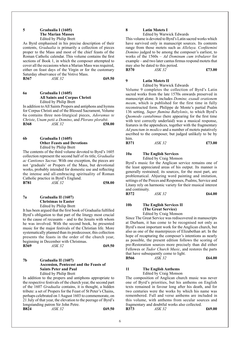### **5 Gradualia I (1605) The Marian Masses** Edited by Philip Brett

As Byrd emphasised in his precise description of their contents, *Gradualia* is primarily a collection of pieces proper to the Mass and most of the chief feasts of the Roman Catholic calendar. This volume contains the first sections of Book 1, in which the composer attempted to cover all the occasions when a Marian Mass was required, either on feast days of the Virgin or for the customary Saturday observance of the Votive Mass. **B367** *ASK 32* **£69.50**

**6a Gradualia I (1605) All Saints and Corpus Christi** Edited by Philip Brett

In addition to All Saints Propers and antiphons and hymns for Corpus Christi and of the Blessed Sacrament, Volume 6a contains three non-liturgical pieces, *Adoramus te Christe*, *Unam petii a Domino*, and *Plorans plorabit*. **B368** *ASK 32* **£58.00**

### **6b Gradualia I (1605) Other Feasts and Devotions** Edited by Philip Brett

The contents of the third volume devoted to Byrd's 1605 collection represent the second half of its title, *Gradualia ac Cantiones Sacrae*. With one exception, the pieces are not 'graduals' or Propers of the Mass, but devotional works, probably intended for domestic use and reflecting the intense and all-embracing spirituality of Roman Catholic practice in Byrd's England. **B781** *ASK 32* **£58.00**

**7a Gradualia II (1607) Christmas to Easter** Edited by Philip Brett

It has been argued that the first book of Gradualia fulfilled Byrd's obligation to that part of the liturgy most crucial to the cause of recusants – and to the Jesuits with whom he was involved. With the second book, he presented music for the major festivals of the Christian life. More systematically planned than its predecessor, this collection presents the feasts in the order of the church year, beginning in December with Christmas.<br>B369 4SK 32 **B369** *ASK 32* **£69.50**

### **7b Gradualia II (1607) Ascension, Pentecost and the Feasts of Saints Peter and Paul** Edited by Philip Brett

In addition to the propers and antiphons appropriate to the respective festivals of the church year, the second part of the 1607 *Gradualia* contains, it is thought, a hidden tribute: a set of Propers for the Feast of St Peter's Chains, perhaps celebrated on 1 August 1603 to commemorate, on 21 July of that year, the elevation to the peerage of Byrd's longstanding patron Sir John Petre.<br>B824 ASK 32 **B824** *ASK 32* **£69.50** 

### **8 Latin Motets I**

Edited by Warwick Edwards

This volume is devoted to Byrd's Latin sacred works which have survived only in manuscript sources. Its contents range from those motets such as *Alleluya. Confitemini Domino* judged to be among the composer's earliest, to works of the 1560s – *Ad Dominum cum tribularer* for example – and two later cantus firmus respond motets that may also be dated to this period. **B370** *ASK 32* **£73.00**

### **9 Latin Motets II**

Edited by Warwick Edwards

Volume 9 completes the collection of Byrd's Latin sacred works from the late 1570s onwards preserved in manuscript alone. It includes *Domine, exaudi orationem meam*, which is published for the first time in fully reconstructed form. Philippe de Monte's partial Psalm 136 setting, *Super flumina Babylonis*, to which Byrd's *Quomodo cantabimus* (here appearing for the first time with text correctly underlaid) was a musical response, features in the appendices, together with the fragmentary *Ad punctum in modico* and a number of motets putatively ascribed to the composer, but judged unlikely to be by him.<br>B371

| <b>B371</b> | ASK 32 | £73.00 |
|-------------|--------|--------|
|             |        |        |

### **10a The English Services**

Edited by Craig Monson

Byrd's music for the Anglican service remains one of the least appreciated areas of his output. Its manner is generally restrained; its sources, for the most part, are problematical. Abjuring word painting and imitation, settings of the Preces and Responses, Psalms, Service and Litany rely on harmonic variety for their musical interest and continuity.

**B372** *ASK 32* **£64.00**

### **10b The English Services II (The Great Service)** Edited by Craig Monson

Since The Great Service was rediscovered in manuscripts at Durham, it has come to be recognised not only as Byrd's most important work for the Anglican church, but

also as one of the masterpieces of Elizabethan art. In the hope of recapturing the composer's intentions as nearly as possible, the present edition follows the scoring of pre-Restoration sources more precisely than did either Fellowes or *Tudor Church Music*, and restores the parts that have subsequently come to light.<br> $B566$   $ASK 32$ **B566** *ASK 32* **£64.00**

### **11 The English Anthems** Edited by Craig Monson

The composition of Anglican church music was never one of Byrd's priorities, but his anthems on English texts remained in favour long after his death, and for two centuries were the works by which his name was remembered. Full and verse anthems are included in this volume, with anthems from secular sources and fragmentary and doubtful works also collected.<br> **B373** ASK 32 **B373** *ASK 32* **£69.00**

6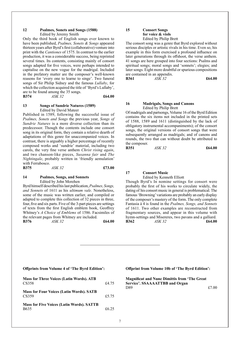### **12 Psalmes, Sonets and Songs (1588)** Edited by Jeremy Smith

Only the third book of English songs ever known to have been published, *Psalmes, Sonets & Songs* appeared thirteen years after Byrd's first (collaborative) venture into print with the *Cantiones* of 1575. In contrast to the earlier production, it was a considerable success, being reprinted several times. Its contents, consisting mainly of consort songs adapted for five voices, were perhaps intended to capitalise on the new vogue for the madrigal. Included in the prefatory matter are the composer's well-known reasons for 'every one to learne to singe'. Two funeral songs of Sir Philip Sidney and the famous *Lullaby*, for which the collection acquired the title of 'Byrd's Lullaby', are to be found among the 35 songs.<br> **B374**  $\overline{ASK}$  32 **B374** *ASK 32* **£64.00**

### **13 Songs of Sundrie Natures (1589)** Edited by David Mateer

Published in 1589, following the successful issue of *Psalmes, Sonets and Songs* the previous year, *Songs of Sundrie Natures* is a more diverse collection than its predecessor. Though the contents include one consort song in its original form, they contain a relative dearth of adaptations of this genre for unaccompanied voices. In contrast, there is arguably a higher percentage of recently composed works and 'sundrie' material, including two carols, the very fine verse anthem *Christ rising again*, and two chanson-like pieces, *Susanna fair* and *The Nightingale*, probably written in 'friendly aemulation' with Ferrabosco.<br>B375

**B375** *ASK 32* **£73.00**

### **14 Psalmes, Songs, and Sonnets** Edited by John Morehen

Byrd himself described his last publication, *Psalmes, Songs, and Sonnets* of 1611 as his *ultimum vale*. Nonetheless, some of the music was written earlier, and compiled or adapted to complete this collection of 32 pieces in three, four, five and six parts. Five of the 3-part pieces are settings of texts from the first English emblem book, Geoffrey Whitney's *A Choice of Emblems* of 1586. Facsimiles of the relevant pages from Whitney are included. **B376** *ASK 32* **£64.00**

**15 Consort Songs** 

**for voice & viols** Edited by Philip Brett

The consort song was a genre that Byrd explored without serious disciples or artistic rivals in his time. Even so, his example in this form exercised a profound influence on later generations through its offshoot, the verse anthem. 41 songs are here grouped into four sections: Psalms and spiritual songs; moral songs and 'sonnets'; elegies; and later songs. Eight more doubtful or spurious compositions are contained in an appendix.

**B361** *ASK 32* **£64.00**

### **16 Madrigals, Songs and Canons** Edited by Philip Brett

Of madrigals and partsongs, Volume 16 of the Byrd Edition contains the six items not included in the printed sets of 1588, 1589 and 1611 (distinguished by the lack of obligatory instrumental accompaniments); of the consort songs, the original versions of consort songs that were subsequently arranged as madrigals; and of canons and rounds, the two that can without doubt be attributed to the composer.

**B351** *ASK 32* **£64.00**

### **17 Consort Music**

Edited by Kenneth Elliott Though Byrd's In nomine settings for consort were probably the first of his works to circulate widely, the dating of his consort music in general is problematical. The famous 'Browning' variations are probably an early display of the composer's mastery of the form. The only complete Fantasia à 4 is found in the *Psalmes, Songs, and Sonnets* of 1611. Two other examples are reconstructed from fragmentary sources, and appear in this volume with hymn-settings and Misereres, two pavans and a galliard. **B362** *ASK 32* **£64.00**

# **Offprints from Volume 4 of 'The Byrd Edition':**

**Mass for Three Voices (Latin Words). ATB** CS358£4.75 **Mass for Four Voices (Latin Words). SATB** CS359£5.75 **Mass for Five Voices (Latin Words). SATTB**  $B635$   $£6.25$ 

**Offprint from Volume 10b of 'The Byrd Edition':**

**Magnificat and Nunc Dimittis from 'The Great Service'. SSAAAATTBB and Organ** D89£7.00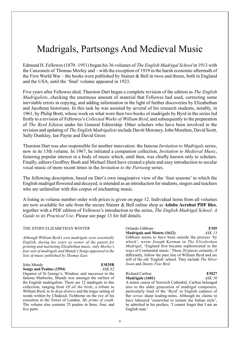# Madrigals, Partsongs And Medieval Music

Edmund H. Fellowes (1870–1951) began his 36 volumes of *The English Madrigal School* in 1913 with the Canzonets of Thomas Morley and – with the exception of 1919 in the harsh economic aftermath of the First World War – the books were published by Stainer & Bell in twos and threes, both in England and the USA, until the 'final' volume appeared in 1923.

Five years after Fellowes died, Thurston Dart began a complete revision of the edition as *The English Madrigalists*, checking the enormous amount of material that Fellowes had used, correcting some inevitable errors in copying, and adding information in the light of further discoveries by Elizabethan and Jacobean historians. In this task he was assisted by several of his research students, notably, in 1961, by Philip Brett, whose work on what were then two books of madrigals by Byrd in the series led firstly to a revision of Fellowes's *Collected Works of William Byrd*, and subsequently to the preparation of *The Byrd Edition* under his General Editorship. Other scholars who have been involved in the revision and updating of *The English Madrigalists* include Davitt Moroney, John Morehen, David Scott, Sally Dunkley, Ian Payne and David Greer.

Thurston Dart was also responsible for another innovation: the famous *Invitation to Madrigals* series, now in its 13th volume. In 1967, he initiated a companion collection, *Invitation to Medieval Music*, fostering popular interest in a body of music which, until then, was chiefly known only to scholars. Finally, editors Geoffrey Bush and Michael Hurd have created a plain and easy introduction to secular vocal music of more recent times in the *Invitation to the Partsong* series.

The following description, based on Dart's own imaginative view of the 'four seasons' in which the English madrigal flowered and decayed, is intended as an introduction for students, singers and teachers who are unfamiliar with this corpus of enchanting music.

A listing in volume number order with prices is given on page 12. Individual items from all volumes are now available for sale from the secure Stainer & Bell online shop as **Adobe Acrobat PDF files**, together with a PDF edition of Fellowes's introduction to the series, *The English Madrigal School: A Guide to its Practical Use*. Please see page 13 for full details.

### THE STERN ELIZABETHAN WINTER

*Although William Byrd's own madrigals were essentially English, during his years as owner of the patent for printing and marketing Elizabethan music, only Morley's four sets of madrigals and Mundy's Songs appeared in the lists of music published by Thomas East.* 

### John Mundy **EM35B Songs and Psalms (1594)** *ASK 62*

Organist of St George's, Windsor, and successor to the famous Marbecke, Mundy was amongst the earliest of the English madrigalists. There are 12 madrigals in this collection, ranging from *Of all the birds*, a tribute to William Byrd, to *In deep distress* and the tragic setting of words written by Chideock Tichborne on the eve of his execution in the Tower of London, *My prime of youth*. The volume also contains 25 psalms in three, four, and five parts.

### Orlando Gibbons **EM5 Madrigals and Motets (1612)** *ASK 13*

Gibbons seems to have been outside the process 'by which', wrote Joseph Kerman in *The Elizabethan Madrigal*, 'England first became sophisticated in the ways of Continental music.' These 20 pieces certainly, if differently, follow the pure line of William Byrd and are still of the old 'English' school. They include *The Silver Swan* and *Dainty Fine Bird*.

#### Richard Carlton **EM27 Madrigals (1601)** *ASK 50*

A minor canon of Norwich Cathedral, Carlton belonged also to the older generation of madrigal composers, particularly fond of the 'Byrd' or English cadence of flat *versus* sharp leading-notes. Although he claims to have laboured 'somewhat to imitate the Italian style', he admitted in his preface, 'I cannot forget that I am an English man.'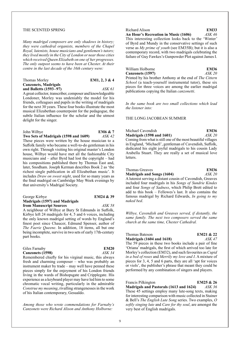#### THE SCENTED SPRING

*Many madrigal composers are only shadows in history; they were cathedral organists, members of the Chapel Royal, lutenists, house musicians and gentlemen's tutors; they lived mostly in the City of London or near those cities which received Queen Elizabeth on one of her progresses. The only outpost seems to have been at Chester. At their centre in the last decade of the 16th century were:*

| Thomas Morley               | EM1, 2, 3 & 4 |
|-----------------------------|---------------|
| <b>Canzonets, Madrigals</b> |               |
| and Balletts $(1593-97)$    | ASK 61        |

A great collector, transcriber, composer and knowledgeable Londoner, Morley was undeniably the model for his friends, colleagues and pupils in the writing of madrigals for the next 30 years. These four books illustrate the most musical Elizabethan counterpoint for the pedagogue, the subtle Italian influence for the scholar and the utmost delight for the singer.

| John Wilbye                           | <b>EM6 &amp; 7</b> |
|---------------------------------------|--------------------|
| Two Sets of Madrigals (1598 and 1609) | ASK 42             |

These pieces were written by the house musician to a Suffolk family who became a well-to-do gentleman in his own right. Through visiting his original master's London house, Wilbye would have met all the fashionable City musicians and – after Byrd had lost the copyright – had his compositions published there by Thomas East and, later, Snodham. Joseph Kerman describes Book 2 as 'the richest single publication in all Elizabethan music'. It includes *Draw on sweet night*, used for so many years as the final madrigal on Cambridge May Week evenings by that university's Madrigal Society.

| George Kirbye                         | EM24 & 39 |
|---------------------------------------|-----------|
| <b>Madrigals (1597) and Madrigals</b> |           |
| from Manuscript Sources               | ASK 58    |

A neighbour of Wilbye at Bury St Edmunds in Suffolk, Kirbye left 24 madrigals for 4, 5 and 6 voices, including the only known madrigal setting of words by England's finest poet since Chaucer, Edmund Spenser, author of *The Faerie Queene*. In addition, 18 items, all but one being incomplete, survive in two sets of early 17th-century part books.

| Giles Farnaby    | <b>EM20</b> |
|------------------|-------------|
| Canzonets (1598) | ASK 34      |

Remembered chiefly for his virginal music, this always fresh and charming composer – who was probably an instrument maker by trade – may well have penned these pieces simply for the enjoyment of his London friends living in the wards of Bishopsgate and Cripplegate. His experience as a keyboard player may have led him to some chromatic vocal writing, particularly in the admirable *Construe my meaning*, rivalling strangenesses in the work of his Italian contemporary, Gesualdo.

*Among those who wrote commendations for Farnaby's Canzonets were Richard Alison and Anthony Holborne:*

### Richard Alison **EM33**<br> **An Hour's Recreation in Music (1606)** *ASK 46* An Hour's Recreation in Music (1606)

This interesting collection looks back to the 'Winter' of Byrd and Mundy in the conservative settings of such verse as *My prime of youth* (see EM35B); but it is also a contemporary record, with two madrigals celebrating the failure of Guy Fawkes's Gunpowder Plot against James I.

| William Holborne                                               | <b>EM36</b> |
|----------------------------------------------------------------|-------------|
| Canzonets (1597)                                               | ASK 20      |
| Printed by his brother Anthony at the end of The Cittern       |             |
| <i>School</i> (a teach-yourself instrumental tutor), these six |             |
| pieces for three voices are among the earlier madrigal         |             |
| publications copying the Italian canzonetti.                   |             |

*In the same book are two small collections which lead the listener into:*

### THE LONG JACOBEAN SUMMER

Michael Cavendish **EM36 Madrigals (1598 and 1601)** *ASK 20* Coming from what is still one of the most beautiful villages in England, 'Michaell', gentleman of Cavendish, Suffolk, dedicated his eight joyful madrigals to his cousin Lady Arabella Stuart. They are really a set of musical love letters.

### Thomas Greaves **EM36**<br> **Madrigals and Songs (1604)** *ASK 20* **Madrigals and Songs (1604)** A lutenist serving a distant cousin of Cavendish, Greaves

included four madrigals in his *Songs of Sundrie Kindes* and four *Songs of Sadness*, which Philip Brett edited to add to this book – Fellowes's last. It also contains the famous madrigal by Richard Edwards, *In going to my naked bed*.

*Wilbye, Cavendish and Greaves served, if distantly, the same family. The next two composers served the same church at the same time, Chester Cathedral.* 

### Thomas Bateson **EM21 & 22 Madrigals (1604 and 1618)** *ASK 47*

The 59 pieces in these two books include a pair of fine 'Oriana' madrigals, the first of which arrived too late for Morley's collection (EM32), and such favourites as *Cupid in a bed of roses* and *Merrily my love and I*. A mixture of pieces for 3, 4, 5 and 6 parts, they are all 'apt for voices or viols', the publisher's phrase that meant they could be performed by any combination of singers and players.

#### Francis Pilkington **EM25 & 26**

**Madrigals and Pastorals (1613 and 1624)** *ASK 36* These 45 settings employ many lute-song texts, making for interesting comparison with music collected in Stainer & Bell's *The English Lute Song* series. Two examples, *O softly singing lute* and *Care for thy soul*, are amongst the very best of English madrigals.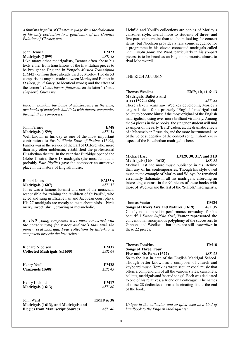*A third madrigalist of Chester, to judge from the dedication of his only collection to a gentleman of the Countie Palatine of Chester, was:*

### John Bennet **EM23 Madrigals (1599)** *ASK 48*

Like many other madrigalists, Bennet often chose his texts either from translations of the first Italian pieces to be brought to England in Yonge's *Musica Transalpina* (EM42), or from those already used by Morley. Two direct comparisons may be made between Morley and Bennet in *O sleep, fond fancy* (to identical words) and the effect of the former's *Come, lovers, follow me* on the latter's *Come, shepherd, follow me*.

*Back in London, the home of Shakespeare at the time, two books of madrigals had links with theatre companies through their composers:*

### John Farmer **EM8 Madrigals (1599)** *ASK 54*

Well known in his day as one of the most important contributors to East's *Whole Book of Psalms* (1592), Farmer was in the service of the Earl of Oxford who, more than any other nobleman, established the professional Elizabethan theatre. In the year that Burbidge opened the Globe Theatre, these 18 madrigals (the most famous is probably *Fair Phyllis*) gave the composer an attractive place in the history of English music.

| Robert Jones                                         | <b>EM35A</b> |
|------------------------------------------------------|--------------|
| Madrigals (1607)                                     | ASK 57       |
| Ignos was a famous lutanist and ana of the musicians |              |

Jones was a famous lutenist and one of the musicians responsible for training the 'children of St Paul's', who acted and sang in Elizabethan and Jacobean court plays. His 27 madrigals are mostly to texts about birds – birds merry, sweet, shrill, crowing or melancholic.

*By 1610, young composers were more concerned with the consort song for voices and viols than with the purely vocal madrigal. Four collections by little-known composers precede the last riches:*

| Richard Nicolson             | <b>EM37</b> |
|------------------------------|-------------|
| Collected Madrigals (c.1600) | ASK 64      |
|                              |             |

| Henry Youll      | <b>EM28</b> |
|------------------|-------------|
| Canzonets (1608) | ASK 43      |
|                  |             |

Henry Lichfild **EM17 Madrigals (1613)** *ASK 60*

| John Ward                              | <b>EM19 &amp; 38</b> |
|----------------------------------------|----------------------|
| Madrigals (1613), and Madrigals and    |                      |
| <b>Elegies from Manuscript Sources</b> | <i>ASK 40</i>        |

Lichfild and Youll's collections are copies of Morley's canzonet style, useful more to students of three- and five-part counterpoint than to choirs looking for concert items; but Nicolson provides a rare comic sequence for a programme in his eleven connected madrigals called *Joan, quoth John*; and Ward, particularly in his six-part pieces, is to be heard as an English harmonist almost to rival Monteverdi.

### THE RICH AUTUMN

### Thomas Weelkes **EM9, 10, 11 & 13 Madrigals, Balletts and**

**Airs (1597–1608)** *ASK 44* These eleven years saw Weelkes developing Morley's original ideas for a properly 'English' madrigal and ballet, to become himself the most original of the English madrigalists, using ever more brilliant virtuosity. Among the 94 pieces in these books, the singer or student will find examples of the early 'Byrd' cadences, the dramatic effects of a Marenzio or Gesualdo, and the more instrumental use of the voice suggestive of the consort song; in short, every aspect of the Elizabethan madrigal is here.

# Michael East **EM29, 30, 31A and 31B**<br>**Madrigals (1604–1618)** *ASK 53*

**Madrigals (1604–1618)** 

Michael East had more music published in his lifetime than any of his contemporaries. Though his style owed much to the example of Morley and Wilbye, he remained essentially Italianate in all his madrigals, affording an interesting contrast in the 90 pieces of these books with those of Weelkes and the last of the 'Suffolk' madrigalists.

Thomas Vautor<br>**Songs of Divers Airs and Natures (1619)** ASK 39 **Songs of Divers Airs and Natures (1619)** Chiefly remembered in performance nowadays for his beautiful *Sweet Suffolk Owl*, Vautor represented the conventional, anonymous polyphony of the successors to Gibbons and Weelkes – but there are still *trouvailles* in these 22 pieces.

| Thomas Tomkins                                         | <b>EM18</b> |
|--------------------------------------------------------|-------------|
| Songs of Three, Four,                                  |             |
| Five and Six Parts (1622)                              | ASK 35      |
| So to the last in date of the English Madrigal School. |             |
| Though botton known as a composer of church and        |             |

Though better known as a composer of church and keyboard music, Tomkins wrote secular vocal music that offers a compendium of all the various styles: canzonets, balletts, madrigals and 'sacred songs'. Each was dedicated to one of his relatives, a friend or a colleague. The names of these 28 dedicatees form a fascinating list at the end of the book.

*Unique in the collection and so often used as a kind of handbook to the English Madrigals is:*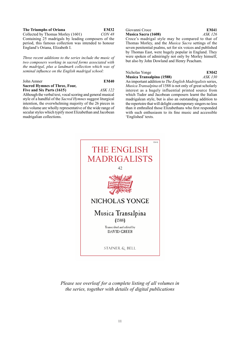# **The Triumphs of Oriana EM32**<br>Collected by Thomas Morley (1601) *CON 48*

Collected by Thomas Morley (1601) Containing 25 madrigals by leading composers of the period, this famous collection was intended to honour England's Oriana, Elizabeth I.

*Three recent additions to the series include the music of two composers working in sacred forms associated with the madrigal, plus a landmark collection which was of seminal influence on the English madrigal school:*

| John Amner                                                  | <b>EM40</b>    |
|-------------------------------------------------------------|----------------|
| <b>Sacred Hymnes of Three, Four,</b>                        |                |
| Five and Six Parts (1615)                                   | <i>ASK 122</i> |
| Although the verbal text, vocal scoring and general musical |                |

style of a handful of the *Sacred Hymnes* suggest liturgical intention, the overwhelming majority of the 26 pieces in this volume are wholly representative of the wide range of secular styles which typify most Elizabethan and Jacobean madrigalian collections.

# Giovanni Croce **EM41**<br> **Musica Sacra (1608)** *ASK 126*

**Musica Sacra (1608)** 

Croce's madrigal style may be compared to that of Thomas Morley, and the *Musica Sacra* settings of the seven penitential psalms, set for six voices and published by Thomas East, were hugely popular in England. They were spoken of admiringly not only by Morley himself, but also by John Dowland and Henry Peacham.

### Nicholas Yonge **EM42**<br> **Musica Transalpina (1588)** *ASK 130* **Musica Transalpina (1588)** An important addition to *The English Madrigalists* series, *Musica Transalpina* of 1588 is not only of great scholarly interest as a hugely influential printed source from

which Tudor and Jacobean composers learnt the Italian madrigalean style, but is also an outstanding addition to the repertoire that will delight contemporary singers no less than it enthralled those Elizabethans who first responded with such enthusiasm to its fine music and accessible 'Englished' texts.



*Please see overleaf for a complete listing of all volumes in the series, together with details of digital publications*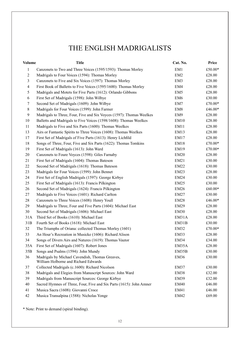# THE ENGLISH MADRIGALISTS

| <b>Volume</b>  | <b>Title</b>                                                                            | Cat. No.         | Price   |
|----------------|-----------------------------------------------------------------------------------------|------------------|---------|
| 1              | Canzonets to Two and Three Voices (1595/1593): Thomas Morley                            | EM1              | £50.00* |
| $\overline{c}$ | Madrigals to Four Voices (1594): Thomas Morley                                          | EM <sub>2</sub>  | £28.00  |
| 3              | Canzonets to Five and Six Voices (1597): Thomas Morley                                  | EM3              | £28.00  |
| 4              | First Book of Balletts to Five Voices (1595/1600): Thomas Morley                        | EM4              | £28.00  |
| 5              | Madrigals and Motets for Five Parts (1612): Orlando Gibbons                             | EM <sub>5</sub>  | £28.00  |
| 6              | First Set of Madrigals (1598): John Wilbye                                              | EM <sub>6</sub>  | £30.00  |
| 7              | Second Set of Madrigals (1609): John Wilbye                                             | EM7              | £70.00* |
| 8              | Madrigals for Four Voices (1599): John Farmer                                           | EM <sub>8</sub>  | £46.00* |
| 9              | Madrigals to Three, Four, Five and Six Voyces (1597): Thomas Weelkes                    | EM9              | £28.00  |
| 10             | Balletts and Madrigals to Five Voices (1598/1608): Thomas Weelkes                       | EM10             | £28.00  |
| 11             | Madrigals to Five and Six Parts (1600): Thomas Weelkes                                  | EM11             | £28.00  |
| 13             | Airs or Fantastic Spirits to Three Voices (1608): Thomas Weelkes                        | EM13             | £28.00  |
| 17             | First Set of Madrigals of Five Parts (1613): Henry Lichfild                             | EM17             | £28.00  |
| 18             | Songs of Three, Four, Five and Six Parts (1622): Thomas Tomkins                         | EM18             | £70.00* |
| 19             | First Set of Madrigals (1613): John Ward                                                | <b>EM19</b>      | £70.00* |
| 20             | Canzonets to Foure Voyces (1598): Giles Farnaby                                         | <b>EM20</b>      | £28.00  |
| 21             | First Set of Madrigals (1604): Thomas Bateson                                           | EM21             | £30.00  |
| 22             | Second Set of Madrigals (1618): Thomas Bateson                                          | <b>EM22</b>      | £30.00  |
| 23             | Madrigals for Four Voices (1599): John Bennet                                           | EM23             | £28.00  |
| 24             | First Set of English Madrigals (1597): George Kirbye                                    | EM24             | £30.00  |
| 25             | First Set of Madrigals (1613): Francis Pilkington                                       | <b>EM25</b>      | £30.00  |
| 26             | Second Set of Madrigals (1624): Francis Pilkington                                      | <b>EM26</b>      | £60.00* |
| 27             | Madrigals to Five Voices (1601): Richard Carlton                                        | EM27             | £30.00  |
| 28             | Canzonets to Three Voices (1608): Henry Youll                                           | EM <sub>28</sub> | £46.00* |
| 29             | Madrigals to Three, Four and Five Parts (1604): Michael East                            | <b>EM29</b>      | £28.00  |
| 30             | Second Set of Madrigals (1606): Michael East                                            | EM <sub>30</sub> | £28.00  |
| 31A            | Third Set of Books (1610): Michael East                                                 | EM31A            | £28.00  |
| 31B            | Fourth Set of Books (1618): Michael East                                                | EM31B            | £30.00  |
| 32             | The Triumphs of Oriana: collected Thomas Morley (1601)                                  | EM32             | £70.00* |
| 33             | An Hour's Recreation in Musicke (1606): Richard Alison                                  | EM33             | £28.00  |
| 34             | Songs of Divers Airs and Natures (1619): Thomas Vautor                                  | EM34             | £34.00  |
| 35A            | First Set of Madrigals (1607): Robert Jones                                             | EM35A            | £28.00  |
| 35B            | Songs and Psalms (1594): John Mundy                                                     | EM35B            | £30.00  |
| 36             | Madrigals by Michael Cavendish, Thomas Greaves,<br>William Holborne and Richard Edwards | <b>EM36</b>      | £30.00  |
| 37             | Collected Madrigals (c.1600): Richard Nicolson                                          | EM37             | £30.00  |
| 38             | Madrigals and Elegies from Manuscript Sources: John Ward                                | EM38             | £32.00  |
| 39             | Madrigals from Manuscript Sources: George Kirbye                                        | <b>EM39</b>      | £32.00  |
| 40             | Sacred Hymnes of Three, Four, Five and Six Parts (1615): John Amner                     | <b>EM40</b>      | £46.00  |
| 41             | Musica Sacra (1608): Giovanni Croce                                                     | EM41             | £46.00  |
| 42             | Musica Transalpina (1588): Nicholas Yonge                                               | <b>EM42</b>      | £69.00  |

\* Note: Print to demand (spiral binding).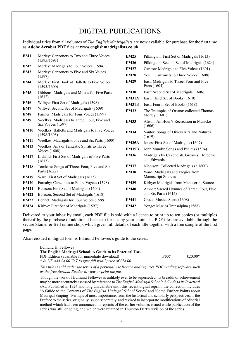## DIGITAL PUBLICATIONS

Individual titles from all volumes of *The English Madrigalists* are now available for purchase for the first time as **Adobe Acrobat PDF** files at **www.englishmadrigalists.co.uk**:

| EM1             | Morley: Canzonets to Two and Three Voices<br>(1595/1593)            | <b>EM25</b>  | Pilkington: First Set of Madrigals (1613)                |
|-----------------|---------------------------------------------------------------------|--------------|----------------------------------------------------------|
| EM2             | Morley: Madrigals to Four Voices (1594)                             | <b>EM26</b>  | Pilkington: Second Set of Madrigals (1624)               |
| EM3             | Morley: Canzonets to Five and Six Voices                            | <b>EM27</b>  | Carlton: Madrigals to Five Voices (1601)                 |
|                 | (1597)                                                              | <b>EM28</b>  | Youll: Canzonets to Three Voices (1608)                  |
| EM4             | Morley: First Book of Balletts to Five Voices<br>(1595/1600)        | <b>EM29</b>  | East: Madrigals to Three, Four and Five<br>Parts (1604)  |
| EM <sub>5</sub> | Gibbons: Madrigals and Motets for Five Parts                        | <b>EM30</b>  | East: Second Set of Madrigals (1606)                     |
|                 | (1612)                                                              | <b>EM31A</b> | East: Third Set of Books (1610)                          |
| EM <sub>6</sub> | Wilbye: First Set of Madrigals (1598)                               | <b>EM31B</b> | East: Fourth Set of Books (1618)                         |
| EM7             | Wilbye: Second Set of Madrigals (1609)                              | <b>EM32</b>  | The Triumphs of Oriana: collected Thomas                 |
| EM <sub>8</sub> | Farmer: Madrigals for Four Voices (1599)                            |              | Morley (1601)                                            |
| EM9             | Weelkes: Madrigals to Three, Four, Five and<br>Six Voyces (1597)    | <b>EM33</b>  | Alison: An Hour's Recreation in Musicke<br>(1606)        |
| <b>EM10</b>     | Weelkes: Balletts and Madrigals to Five Voices<br>(1598/1608)       | <b>EM34</b>  | Vautor: Songs of Divers Airs and Natures<br>(1619)       |
| <b>EM11</b>     | Weelkes: Madrigals to Five and Six Parts (1600)                     | <b>EM35A</b> | Jones: First Set of Madrigals (1607)                     |
| <b>EM13</b>     | Weelkes: Airs or Fantastic Spirits to Three<br><b>Voices</b> (1608) | <b>EM35B</b> | John Mundy: Songs and Psalms (1594)                      |
| <b>EM17</b>     | Lichfild: First Set of Madrigals of Five Parts<br>(1613)            | <b>EM36</b>  | Madrigals by Cavendish, Greaves, Holborne<br>and Edwards |
| <b>EM18</b>     | Tomkins: Songs of Three, Four, Five and Six                         | <b>EM37</b>  | Nicolson: Collected Madrigals (c.1600)                   |
|                 | Parts (1622)                                                        | <b>EM38</b>  | Ward: Madrigals and Elegies from                         |
| <b>EM19</b>     | Ward: First Set of Madrigals (1613)                                 |              | <b>Manuscript Sources</b>                                |
| <b>EM20</b>     | Farnaby: Canzonets to Foure Voyces (1598)                           | <b>EM39</b>  | Kirbye: Madrigals from Manuscript Sources                |
| <b>EM21</b>     | Bateson: First Set of Madrigals (1604)                              | <b>EM40</b>  | Amner: Sacred Hymnes of Three, Four, Five                |
| <b>EM22</b>     | Bateson: Second Set of Madrigals (1618)                             |              | and Six Parts (1615)                                     |
| <b>EM23</b>     | Bennet: Madrigals for Four Voices (1599)                            | <b>EM41</b>  | Croce: Musica Sacra (1608)                               |
| <b>EM24</b>     | Kirbye: First Set of Madrigals (1597)                               | <b>EM42</b>  | Yonge: Musica Transalpina (1588)                         |

Delivered to your inbox by email, each PDF file is sold with a licence to print up to ten copies (or multiples thereof by the purchase of additional licences) for use by your choir. The PDF files are available through the secure Stainer & Bell online shop, which gives full details of each title together with a free sample of the first page.

Also reissued in digital form is Edmund Fellowes's guide to the series:

| Edmund H. Fellowes                                           |             |           |
|--------------------------------------------------------------|-------------|-----------|
| The English Madrigal School: A Guide to its Practical Use.   |             |           |
| PDF Edition (available for immediate download)               | <b>F007</b> | $f20.00*$ |
| $*$ In UK add £4.00 VAT to give full retail price of £24.00. |             |           |

*This title is sold under the terms of a personal use licence and requires PDF reading software such as the free Acrobat Reader to view or print the file.*

Though the work of Edmund Fellowes is unlikely ever to be superseded, its breadth of achievement may be more accurately assessed by reference to *The English Madrigal School: A Guide to its Practical Use*. Published in 1924 and long unavailable until this recent digital reprint, the collection includes 'A Guide to the Contents of *The English Madrigal School* Series' and 'Some Further Points about Madrigal Singing'. Perhaps of most importance, from the historical and scholarly perspectives, is the Preface to the series, originally issued separately, and revised to incorporate modifications of editorial method which had been announced in reprints of the earlier volumes issued while publication of the series was still ongoing, and which were retained in Thurston Dart's revision of the series.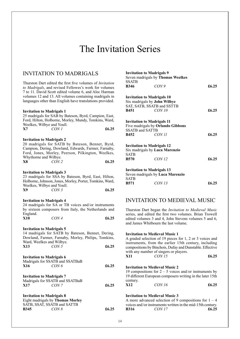# The Invitation Series

### INVITATION TO MADRIGALS

Thurston Dart edited the first five volumes of *Invitation to Madrigals*, and revised Fellowes's work for volumes 7 to 11. David Scott edited volume 6, and Alec Harman volumes 12 and 13. All volumes containing madrigals in languages other than English have translations provided.

### **Invitation to Madrigals 1**

25 madrigals for SAB by Bateson, Byrd, Campion, East, Ford, Hilton, Holborne, Morley, Mundy, Tomkins, Ward, Weelkes, Wilbye and Youll. **X7** *CON 1* **£6.25**

### **Invitation to Madrigals 2**

20 madrigals for SATB by Bateson, Bennet, Byrd, Campion, Dering, Dowland, Edwards, Farmer, Farnaby, Ford, Jones, Morley, Peerson, Pilkington, Weelkes, Whythorne and Wilbye.<br>X8 CON 2 **X8** *CON 2* **£6.25**

#### **Invitation to Madrigals 3**

23 madrigals for SSA by Bateson, Byrd, East, Hilton, Holborne, Johnson, Jones, Morley, Porter, Tomkins, Ward, Weelkes, Wilbye and Youll. **X9** *CON 3* **£6.25**

#### **Invitation to Madrigals 4**

24 madrigals for SA or TB voices and/or instruments by sixteen composers from Italy, the Netherlands and England.

| <b>X10</b> | CON4 | £6.25 |
|------------|------|-------|
|            |      |       |

#### **Invitation to Madrigals 5**

|     |                           | 14 madrigals for SATB by Bateson, Bennet, Dering,   |
|-----|---------------------------|-----------------------------------------------------|
|     |                           | Dowland, Farmer, Farnaby, Morley, Philips, Tomkins, |
|     | Ward, Weelkes and Wilbye. |                                                     |
| X13 | CON <sub>5</sub>          | £6.25                                               |

|     | <b>Invitation to Madrigals 6</b> |       |
|-----|----------------------------------|-------|
|     | Madrigals for SSATB and SSATBaB  |       |
| X16 | CON6                             | £6.25 |
|     |                                  |       |
|     | <b>Invitation to Madrigals 7</b> |       |
|     | Madrigals for SSATB and SSATBaB  |       |
| X17 | CONZ                             | £6.25 |

### **Invitation to Madrigals 8** Eight madrigals by **Thomas Morley** SATB, SSAT, SSATB and SATTB **B345** *CON 8* **£6.25**

|                               | <b>Invitation to Madrigals 9</b><br>Seven madrigals by Thomas Weelkes |                |
|-------------------------------|-----------------------------------------------------------------------|----------------|
| <b>SSATB</b><br><b>B346</b>   | CON9                                                                  | £6.25          |
|                               | <b>Invitation to Madrigals 10</b>                                     |                |
|                               | Six madrigals by John Wilbye                                          |                |
|                               | SAT, SATB, SSATB and SSTTB                                            |                |
| <b>B451</b>                   | CON 10                                                                | £6.25          |
|                               | <b>Invitation to Madrigals 11</b>                                     |                |
|                               | Five madrigals by Orlando Gibbons                                     |                |
| <b>SSATB</b> and <b>SATTB</b> |                                                                       |                |
| <b>B452</b>                   | <i>CON 11</i>                                                         | £6.25          |
|                               | <b>Invitation to Madrigals 12</b>                                     |                |
|                               | Six madrigals by Luca Marenzio                                        |                |
| <b>SATB</b>                   |                                                                       |                |
| <b>B570</b>                   | CON 12                                                                | £6.25          |
|                               | <b>Invitation to Madrigals 13</b>                                     |                |
|                               | Seven madrigals by Luca Marenzio                                      |                |
| SATB                          |                                                                       |                |
| B571                          | <i>CON 13</i>                                                         | $\pounds 6.25$ |

### INVITATION TO MEDIEVAL MUSIC

Thurston Dart began the *Invitation to Medieval Music* series, and edited the first two volumes. Brian Trowell edited volumes 3 and 4, John Stevens volumes 5 and 6, and James Whitbourn the last volume.

### **Invitation to Medieval Music 1**

A graded selection of 19 pieces for 1, 2 or 3 voices and instruments, from the earlier 15th century, including compositions by Binchois, Dufay and Dunstable. Effective with any number of singers or players.<br> $\frac{1}{2}$ 

| X11 | CON 15 | £6.25 |
|-----|--------|-------|
|     |        |       |

### **Invitation to Medieval Music 2**

19 compositions for  $2 - 5$  voices and/or instruments by 19 different European composers writing in the later 15th century.

| X12 | CON16 | £6.25 |
|-----|-------|-------|
|     |       |       |

### **Invitation to Medieval Music 3**

|             | A more advanced selection of 9 compositions for $1 - 4$    |       |
|-------------|------------------------------------------------------------|-------|
|             | voices and/or instruments written in the mid-15th century. |       |
| <b>B316</b> | CON 17                                                     | £6.25 |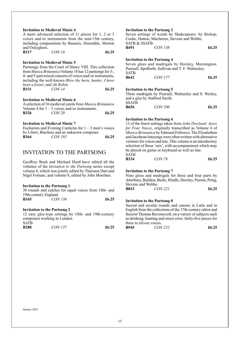| <b>Invitation to Medieval Music 4</b>                           |       | Invitat     |
|-----------------------------------------------------------------|-------|-------------|
| A more advanced selection of 11 pieces for 1, 2 or 3            |       | Seven       |
| voices and/or instruments from the mid-15th century,            |       | Cooke.      |
| including compositions by Busnois, Dunstable, Morton            |       | SATB o      |
| and Ockeghem.                                                   |       | B491        |
| CON 18<br><b>B317</b>                                           | £6.25 |             |
|                                                                 |       | Invitat     |
| <b>Invitation to Medieval Music 5</b>                           |       | Seven       |
| Partsongs from the Court of Henry VIII. This collection         |       | Pearsal     |
| from Musica Britannica Volume 18 has 12 partsongs for 3-,       |       |             |
| 4- and 5-part mixed consorts of voices and/or instruments,      |       | <b>B642</b> |
| including the well-known <i>Blow thy horn, hunter, I have</i>   |       |             |
| been a foster, and Ah Robin.                                    |       |             |
| CON 14<br><b>B331</b>                                           | £6.25 | Invitat     |
|                                                                 |       | Three 1     |
| <b>Invitation to Medieval Music 6</b>                           |       | and a g     |
| A selection of 16 medieval carols from <i>Musica Britannica</i> |       | SSATB       |
| Volume 4 for $1 - 3$ voices and/or instruments.                 |       | <b>B656</b> |
| <b>B326</b><br><i>CON 20</i>                                    | £6.25 |             |

### **Invitation to Medieval Music 7**

|              | Eucharists and Evening Canticles for $1 - 3$ men's voices |       |
|--------------|-----------------------------------------------------------|-------|
|              | by Libert, Binchois and an unknown composer.              |       |
| <b>B</b> 364 | CON 192                                                   | £6.25 |

### INVITATION TO THE PARTSONG

Geoffrey Bush and Michael Hurd have edited all the volumes of the *Invitation to the Partsong* series except volume 6, which was jointly edited by Thurston Dart and Nigel Fortune, and volume 8, edited by John Morehen.

#### **Invitation to the Partsong 1**

|             |  | 30 rounds and catches for equal voices from 18th- and |  |  |       |
|-------------|--|-------------------------------------------------------|--|--|-------|
|             |  | 19th-century England.                                 |  |  |       |
| <b>B165</b> |  | CON 136                                               |  |  | £6.25 |

### **Invitation to the Partsong 2**

12 easy glee-type settings by 18th- and 19th-century composers working in London. SATB

| <b>B288</b> | <i>CON 137</i> | £6.25 |
|-------------|----------------|-------|
|             |                |       |

### **Indiate:** The Partsong 3

settings of words by Shakespeare: by Bishop, Hatton, Macfarren, Stevens and Webbe. SATB & SSATB

| <b>B491</b> | <i>CON 138</i> | £6.25 |
|-------------|----------------|-------|
|             |                |       |

### **Ion to the Partsong 4**

glees and madrigals by Horsley, Mornington, l, Spofforth, Sullivan and T. F. Walmisley. **B642** *CON 177* **£6.25**

### **Ion to the Partsong 5**

madrigals by Pearsall, Walmisley and S. Wesley, lee by Stafford Smith. SSATB **B656** *CON 200* **£6.25**

### **Invitation to the Partsong 6**

13 of the finest settings taken from *John Dowland: Ayres for Four Voices*, originally transcribed as Volume 6 of *Musica Britannica* by Edmund Fellowes. The Elizabethan and Jacobean lutesongs were often written with alternative versions for voices and lute. This volume is an introductory selection of these 'airs', with accompaniment which may be played on guitar or keyboard as well as lute. SATB

| <u> UI LI D</u> |               |       |
|-----------------|---------------|-------|
| <b>B334</b>     | <i>CON 78</i> | £6.25 |

### **Invitation to the Partsong 7**

Nine glees and madrigals for three and four parts by Atterbury, Baildon, Beale, Hindle, Horsley, Paxton, Pring, Stevens and Webbe.<br>B833 CC

**B833** *CON 221* **£6.25** 

### **Invitation to the Partsong 8**

Sacred and secular rounds and canons in Latin and in English from the collections of the 17th-century editor and theorist Thomas Ravenscroft, on a variety of subjects such as drinking, hunting and street cries: thirty-five pieces for three to eleven voices.

| B945 | CON 252 | £6.25 |
|------|---------|-------|
|      |         |       |

January 2022